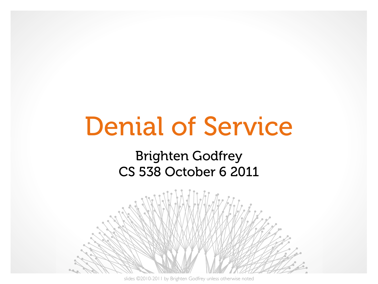# Denial of Service

### Brighten Godfrey CS 538 October 6 2011



slides ©2010-2011 by Brighten Godfrey unless otherwise noted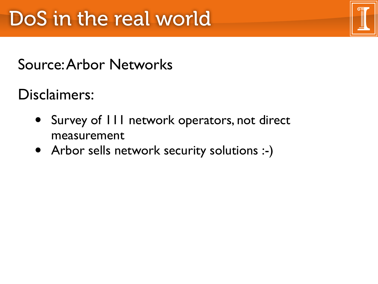## Source: Arbor Networks

Disclaimers:

- Survey of 111 network operators, not direct measurement
- Arbor sells network security solutions :-)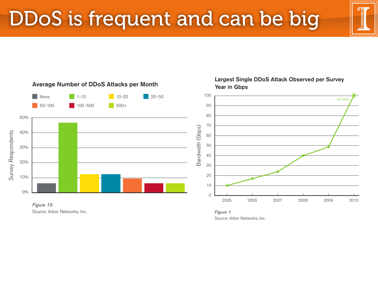



Source: Arbor Networks, Inc.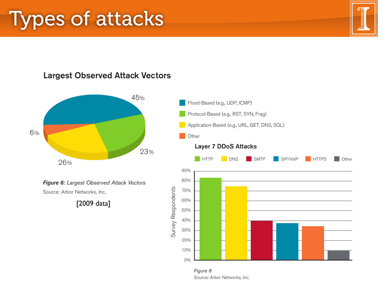## **Types of attacks**

#### Largest Observed Attack Vectors

Respondents were asked what attack vector was employed for the largest attack they observed over the past 12 months, with



**Figure 6:** Largest Observed Attack Vectors Source: Arbor Networks, Inc.

[2009 data]



<sup>-</sup> When asked if they have observed any trends in attacks moving from brute-force to more complex attacks over the Figure 8 Source: Arbor Networks, Inc.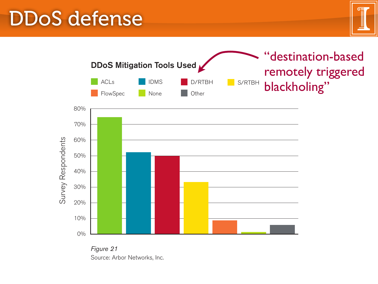#### DDoS defense and operational limitations, ACLS continue to be the single most widely used to be the single mos to mitigate DDoS attacks (Figure 21). Intelligent DDoS mitigation systems (IDMS) such as the Arbor Peakflow SP Threat





Figure 21 Source: Arbor Networks, Inc.